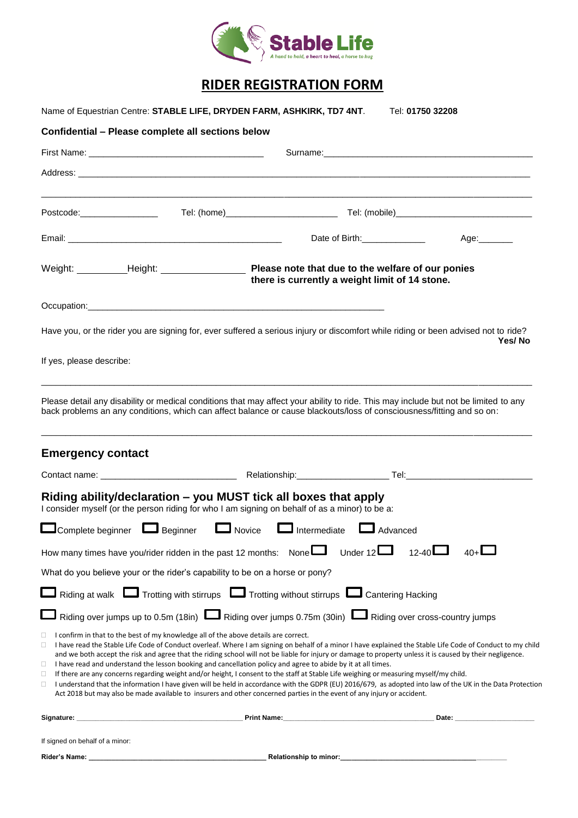

## **RIDER REGISTRATION FORM**

| Name of Equestrian Centre: STABLE LIFE, DRYDEN FARM, ASHKIRK, TD7 4NT.<br>Tel: 01750 32208 |                                                                                                                                                                                                                                                                                                                                                                                                                                                                                                                                                                                                                                                                                                                                                                                                                                                                                                                                                                                  |                        |  |
|--------------------------------------------------------------------------------------------|----------------------------------------------------------------------------------------------------------------------------------------------------------------------------------------------------------------------------------------------------------------------------------------------------------------------------------------------------------------------------------------------------------------------------------------------------------------------------------------------------------------------------------------------------------------------------------------------------------------------------------------------------------------------------------------------------------------------------------------------------------------------------------------------------------------------------------------------------------------------------------------------------------------------------------------------------------------------------------|------------------------|--|
| Confidential - Please complete all sections below                                          |                                                                                                                                                                                                                                                                                                                                                                                                                                                                                                                                                                                                                                                                                                                                                                                                                                                                                                                                                                                  |                        |  |
|                                                                                            |                                                                                                                                                                                                                                                                                                                                                                                                                                                                                                                                                                                                                                                                                                                                                                                                                                                                                                                                                                                  |                        |  |
|                                                                                            |                                                                                                                                                                                                                                                                                                                                                                                                                                                                                                                                                                                                                                                                                                                                                                                                                                                                                                                                                                                  |                        |  |
| Postcode: New York Postcode:                                                               |                                                                                                                                                                                                                                                                                                                                                                                                                                                                                                                                                                                                                                                                                                                                                                                                                                                                                                                                                                                  |                        |  |
|                                                                                            | Date of Birth: ______________                                                                                                                                                                                                                                                                                                                                                                                                                                                                                                                                                                                                                                                                                                                                                                                                                                                                                                                                                    | Age:_______            |  |
| Weight: Height: Height:                                                                    | Please note that due to the welfare of our ponies<br>there is currently a weight limit of 14 stone.                                                                                                                                                                                                                                                                                                                                                                                                                                                                                                                                                                                                                                                                                                                                                                                                                                                                              |                        |  |
|                                                                                            |                                                                                                                                                                                                                                                                                                                                                                                                                                                                                                                                                                                                                                                                                                                                                                                                                                                                                                                                                                                  |                        |  |
|                                                                                            | Have you, or the rider you are signing for, ever suffered a serious injury or discomfort while riding or been advised not to ride?                                                                                                                                                                                                                                                                                                                                                                                                                                                                                                                                                                                                                                                                                                                                                                                                                                               | Yes/No                 |  |
| If yes, please describe:                                                                   |                                                                                                                                                                                                                                                                                                                                                                                                                                                                                                                                                                                                                                                                                                                                                                                                                                                                                                                                                                                  |                        |  |
|                                                                                            | Please detail any disability or medical conditions that may affect your ability to ride. This may include but not be limited to any<br>back problems an any conditions, which can affect balance or cause blackouts/loss of consciousness/fitting and so on:                                                                                                                                                                                                                                                                                                                                                                                                                                                                                                                                                                                                                                                                                                                     |                        |  |
| <b>Emergency contact</b>                                                                   |                                                                                                                                                                                                                                                                                                                                                                                                                                                                                                                                                                                                                                                                                                                                                                                                                                                                                                                                                                                  |                        |  |
|                                                                                            |                                                                                                                                                                                                                                                                                                                                                                                                                                                                                                                                                                                                                                                                                                                                                                                                                                                                                                                                                                                  |                        |  |
|                                                                                            | Riding ability/declaration – you MUST tick all boxes that apply<br>I consider myself (or the person riding for who I am signing on behalf of as a minor) to be a:                                                                                                                                                                                                                                                                                                                                                                                                                                                                                                                                                                                                                                                                                                                                                                                                                |                        |  |
| Complete beginner Laginner                                                                 | Novice <b>L</b> Intermediate                                                                                                                                                                                                                                                                                                                                                                                                                                                                                                                                                                                                                                                                                                                                                                                                                                                                                                                                                     | LAdvanced              |  |
|                                                                                            | Under 12 $\Box$<br>How many times have you/rider ridden in the past 12 months: None $\square$                                                                                                                                                                                                                                                                                                                                                                                                                                                                                                                                                                                                                                                                                                                                                                                                                                                                                    | $40 + \Box$<br>$12-40$ |  |
|                                                                                            | What do you believe your or the rider's capability to be on a horse or pony?                                                                                                                                                                                                                                                                                                                                                                                                                                                                                                                                                                                                                                                                                                                                                                                                                                                                                                     |                        |  |
|                                                                                            | $\Box$ Riding at walk $\Box$ Trotting with stirrups $\Box$ Trotting without stirrups $\Box$ Cantering Hacking                                                                                                                                                                                                                                                                                                                                                                                                                                                                                                                                                                                                                                                                                                                                                                                                                                                                    |                        |  |
|                                                                                            | ■ Riding over jumps up to 0.5m (18in) ■ Riding over jumps 0.75m (30in) ■ Riding over cross-country jumps                                                                                                                                                                                                                                                                                                                                                                                                                                                                                                                                                                                                                                                                                                                                                                                                                                                                         |                        |  |
| 0<br>0<br>0                                                                                | $\Box$ I confirm in that to the best of my knowledge all of the above details are correct.<br>I have read the Stable Life Code of Conduct overleaf. Where I am signing on behalf of a minor I have explained the Stable Life Code of Conduct to my child<br>and we both accept the risk and agree that the riding school will not be liable for injury or damage to property unless it is caused by their negligence.<br>$\Box$ I have read and understand the lesson booking and cancellation policy and agree to abide by it at all times.<br>If there are any concerns regarding weight and/or height, I consent to the staff at Stable Life weighing or measuring myself/my child.<br>I understand that the information I have given will be held in accordance with the GDPR (EU) 2016/679, as adopted into law of the UK in the Data Protection<br>Act 2018 but may also be made available to insurers and other concerned parties in the event of any injury or accident. |                        |  |
|                                                                                            |                                                                                                                                                                                                                                                                                                                                                                                                                                                                                                                                                                                                                                                                                                                                                                                                                                                                                                                                                                                  |                        |  |
| If signed on behalf of a minor:                                                            |                                                                                                                                                                                                                                                                                                                                                                                                                                                                                                                                                                                                                                                                                                                                                                                                                                                                                                                                                                                  |                        |  |
|                                                                                            |                                                                                                                                                                                                                                                                                                                                                                                                                                                                                                                                                                                                                                                                                                                                                                                                                                                                                                                                                                                  |                        |  |